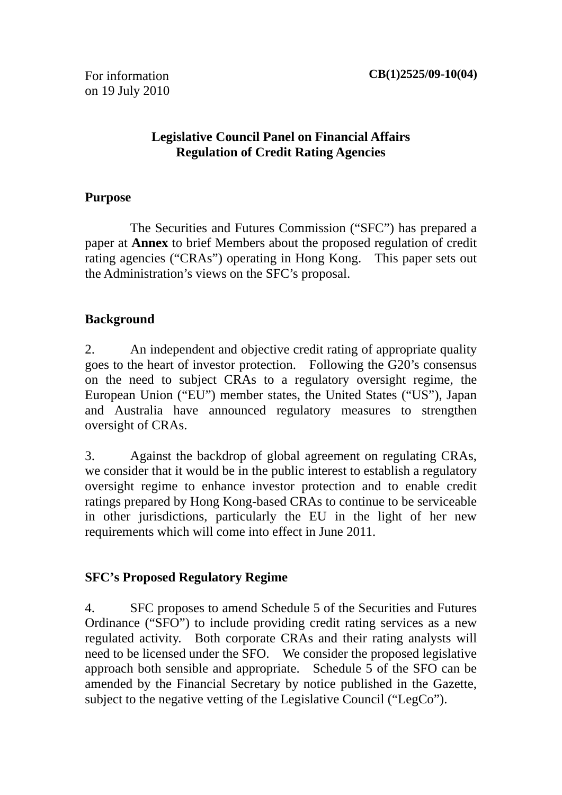For information on 19 July 2010

#### **Legislative Council Panel on Financial Affairs Regulation of Credit Rating Agencies**

#### **Purpose**

 The Securities and Futures Commission ("SFC") has prepared a paper at **Annex** to brief Members about the proposed regulation of credit rating agencies ("CRAs") operating in Hong Kong. This paper sets out the Administration's views on the SFC's proposal.

#### **Background**

2. An independent and objective credit rating of appropriate quality goes to the heart of investor protection. Following the G20's consensus on the need to subject CRAs to a regulatory oversight regime, the European Union ("EU") member states, the United States ("US"), Japan and Australia have announced regulatory measures to strengthen oversight of CRAs.

3. Against the backdrop of global agreement on regulating CRAs, we consider that it would be in the public interest to establish a regulatory oversight regime to enhance investor protection and to enable credit ratings prepared by Hong Kong-based CRAs to continue to be serviceable in other jurisdictions, particularly the EU in the light of her new requirements which will come into effect in June 2011.

## **SFC's Proposed Regulatory Regime**

4. SFC proposes to amend Schedule 5 of the Securities and Futures Ordinance ("SFO") to include providing credit rating services as a new regulated activity. Both corporate CRAs and their rating analysts will need to be licensed under the SFO. We consider the proposed legislative approach both sensible and appropriate. Schedule 5 of the SFO can be amended by the Financial Secretary by notice published in the Gazette, subject to the negative vetting of the Legislative Council ("LegCo").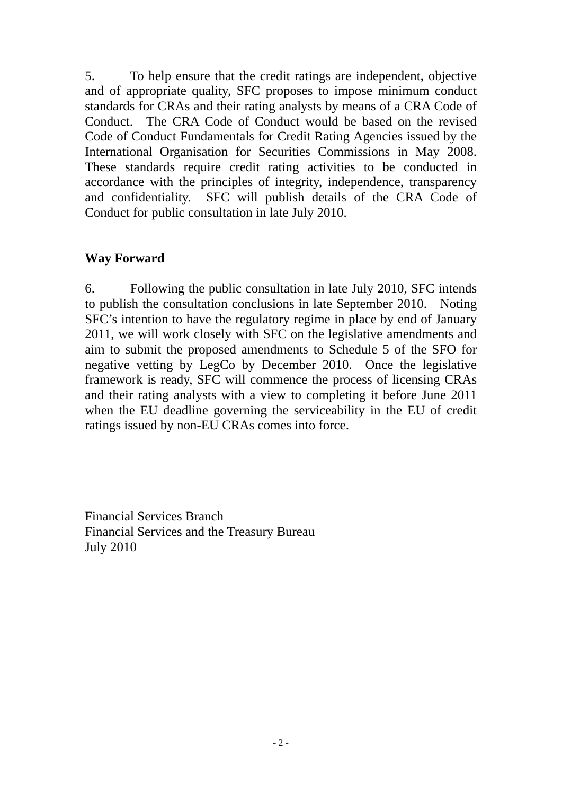5. To help ensure that the credit ratings are independent, objective and of appropriate quality, SFC proposes to impose minimum conduct standards for CRAs and their rating analysts by means of a CRA Code of Conduct. The CRA Code of Conduct would be based on the revised Code of Conduct Fundamentals for Credit Rating Agencies issued by the International Organisation for Securities Commissions in May 2008. These standards require credit rating activities to be conducted in accordance with the principles of integrity, independence, transparency and confidentiality. SFC will publish details of the CRA Code of Conduct for public consultation in late July 2010.

#### **Way Forward**

6. Following the public consultation in late July 2010, SFC intends to publish the consultation conclusions in late September 2010. Noting SFC's intention to have the regulatory regime in place by end of January 2011, we will work closely with SFC on the legislative amendments and aim to submit the proposed amendments to Schedule 5 of the SFO for negative vetting by LegCo by December 2010. Once the legislative framework is ready, SFC will commence the process of licensing CRAs and their rating analysts with a view to completing it before June 2011 when the EU deadline governing the serviceability in the EU of credit ratings issued by non-EU CRAs comes into force.

Financial Services Branch Financial Services and the Treasury Bureau July 2010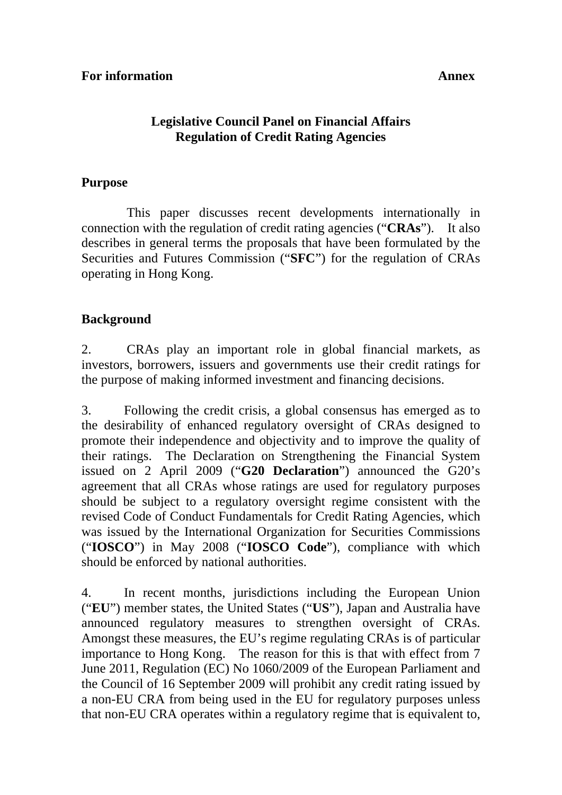#### **Legislative Council Panel on Financial Affairs Regulation of Credit Rating Agencies**

#### **Purpose**

 This paper discusses recent developments internationally in connection with the regulation of credit rating agencies ("**CRAs**"). It also describes in general terms the proposals that have been formulated by the Securities and Futures Commission ("**SFC**") for the regulation of CRAs operating in Hong Kong.

#### **Background**

2. CRAs play an important role in global financial markets, as investors, borrowers, issuers and governments use their credit ratings for the purpose of making informed investment and financing decisions.

3. Following the credit crisis, a global consensus has emerged as to the desirability of enhanced regulatory oversight of CRAs designed to promote their independence and objectivity and to improve the quality of their ratings. The Declaration on Strengthening the Financial System issued on 2 April 2009 ("**G20 Declaration**") announced the G20's agreement that all CRAs whose ratings are used for regulatory purposes should be subject to a regulatory oversight regime consistent with the revised Code of Conduct Fundamentals for Credit Rating Agencies, which was issued by the International Organization for Securities Commissions ("**IOSCO**") in May 2008 ("**IOSCO Code**"), compliance with which should be enforced by national authorities.

4. In recent months, jurisdictions including the European Union ("**EU**") member states, the United States ("**US**"), Japan and Australia have announced regulatory measures to strengthen oversight of CRAs. Amongst these measures, the EU's regime regulating CRAs is of particular importance to Hong Kong. The reason for this is that with effect from 7 June 2011, Regulation (EC) No 1060/2009 of the European Parliament and the Council of 16 September 2009 will prohibit any credit rating issued by a non-EU CRA from being used in the EU for regulatory purposes unless that non-EU CRA operates within a regulatory regime that is equivalent to,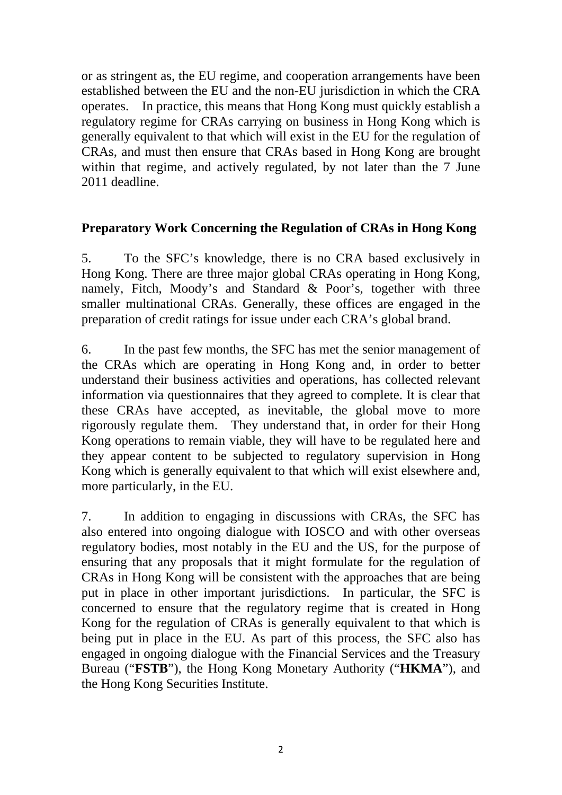or as stringent as, the EU regime, and cooperation arrangements have been established between the EU and the non-EU jurisdiction in which the CRA operates. In practice, this means that Hong Kong must quickly establish a regulatory regime for CRAs carrying on business in Hong Kong which is generally equivalent to that which will exist in the EU for the regulation of CRAs, and must then ensure that CRAs based in Hong Kong are brought within that regime, and actively regulated, by not later than the 7 June 2011 deadline.

## **Preparatory Work Concerning the Regulation of CRAs in Hong Kong**

5. To the SFC's knowledge, there is no CRA based exclusively in Hong Kong. There are three major global CRAs operating in Hong Kong, namely, Fitch, Moody's and Standard & Poor's, together with three smaller multinational CRAs. Generally, these offices are engaged in the preparation of credit ratings for issue under each CRA's global brand.

6. In the past few months, the SFC has met the senior management of the CRAs which are operating in Hong Kong and, in order to better understand their business activities and operations, has collected relevant information via questionnaires that they agreed to complete. It is clear that these CRAs have accepted, as inevitable, the global move to more rigorously regulate them. They understand that, in order for their Hong Kong operations to remain viable, they will have to be regulated here and they appear content to be subjected to regulatory supervision in Hong Kong which is generally equivalent to that which will exist elsewhere and, more particularly, in the EU.

7. In addition to engaging in discussions with CRAs, the SFC has also entered into ongoing dialogue with IOSCO and with other overseas regulatory bodies, most notably in the EU and the US, for the purpose of ensuring that any proposals that it might formulate for the regulation of CRAs in Hong Kong will be consistent with the approaches that are being put in place in other important jurisdictions. In particular, the SFC is concerned to ensure that the regulatory regime that is created in Hong Kong for the regulation of CRAs is generally equivalent to that which is being put in place in the EU. As part of this process, the SFC also has engaged in ongoing dialogue with the Financial Services and the Treasury Bureau ("**FSTB**"), the Hong Kong Monetary Authority ("**HKMA**"), and the Hong Kong Securities Institute.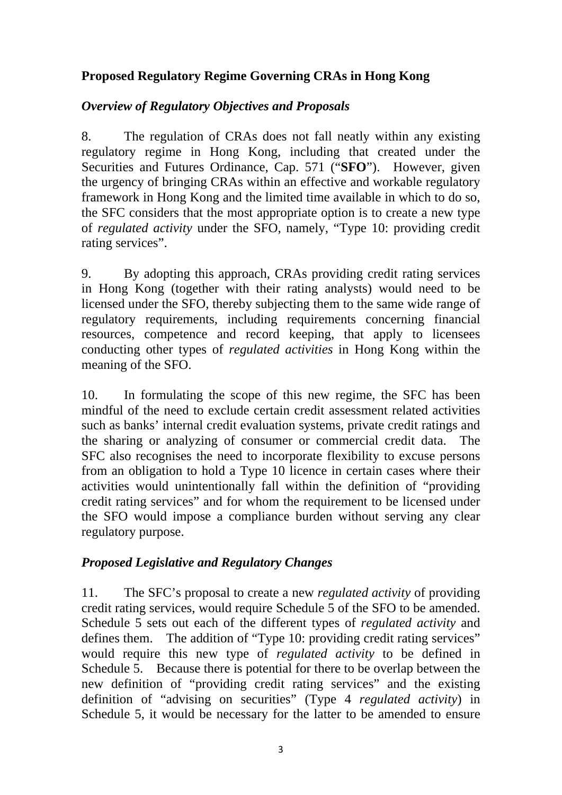## **Proposed Regulatory Regime Governing CRAs in Hong Kong**

## *Overview of Regulatory Objectives and Proposals*

8. The regulation of CRAs does not fall neatly within any existing regulatory regime in Hong Kong, including that created under the Securities and Futures Ordinance, Cap. 571 ("**SFO**"). However, given the urgency of bringing CRAs within an effective and workable regulatory framework in Hong Kong and the limited time available in which to do so, the SFC considers that the most appropriate option is to create a new type of *regulated activity* under the SFO, namely, "Type 10: providing credit rating services".

9. By adopting this approach, CRAs providing credit rating services in Hong Kong (together with their rating analysts) would need to be licensed under the SFO, thereby subjecting them to the same wide range of regulatory requirements, including requirements concerning financial resources, competence and record keeping, that apply to licensees conducting other types of *regulated activities* in Hong Kong within the meaning of the SFO.

10. In formulating the scope of this new regime, the SFC has been mindful of the need to exclude certain credit assessment related activities such as banks' internal credit evaluation systems, private credit ratings and the sharing or analyzing of consumer or commercial credit data. The SFC also recognises the need to incorporate flexibility to excuse persons from an obligation to hold a Type 10 licence in certain cases where their activities would unintentionally fall within the definition of "providing credit rating services" and for whom the requirement to be licensed under the SFO would impose a compliance burden without serving any clear regulatory purpose.

## *Proposed Legislative and Regulatory Changes*

11. The SFC's proposal to create a new *regulated activity* of providing credit rating services, would require Schedule 5 of the SFO to be amended. Schedule 5 sets out each of the different types of *regulated activity* and defines them. The addition of "Type 10: providing credit rating services" would require this new type of *regulated activity* to be defined in Schedule 5. Because there is potential for there to be overlap between the new definition of "providing credit rating services" and the existing definition of "advising on securities" (Type 4 *regulated activity*) in Schedule 5, it would be necessary for the latter to be amended to ensure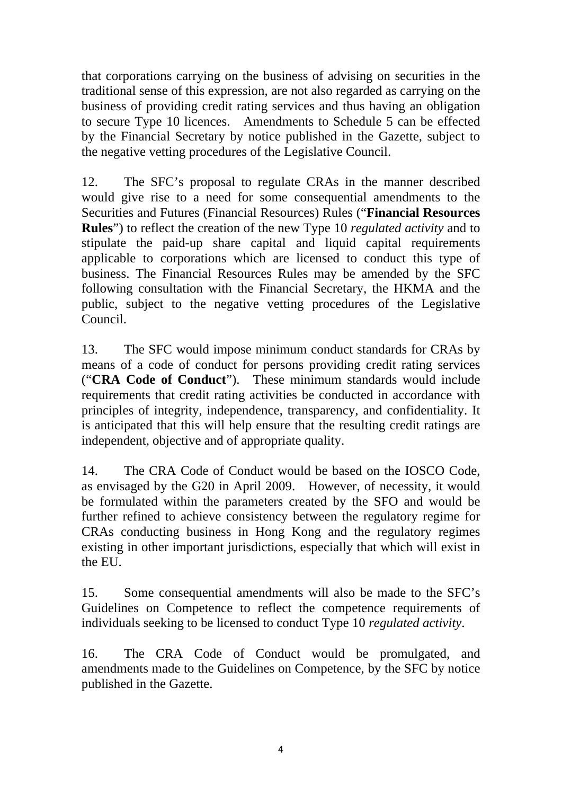that corporations carrying on the business of advising on securities in the traditional sense of this expression, are not also regarded as carrying on the business of providing credit rating services and thus having an obligation to secure Type 10 licences. Amendments to Schedule 5 can be effected by the Financial Secretary by notice published in the Gazette, subject to the negative vetting procedures of the Legislative Council.

12. The SFC's proposal to regulate CRAs in the manner described would give rise to a need for some consequential amendments to the Securities and Futures (Financial Resources) Rules ("**Financial Resources Rules**") to reflect the creation of the new Type 10 *regulated activity* and to stipulate the paid-up share capital and liquid capital requirements applicable to corporations which are licensed to conduct this type of business. The Financial Resources Rules may be amended by the SFC following consultation with the Financial Secretary, the HKMA and the public, subject to the negative vetting procedures of the Legislative Council.

13. The SFC would impose minimum conduct standards for CRAs by means of a code of conduct for persons providing credit rating services ("**CRA Code of Conduct**"). These minimum standards would include requirements that credit rating activities be conducted in accordance with principles of integrity, independence, transparency, and confidentiality. It is anticipated that this will help ensure that the resulting credit ratings are independent, objective and of appropriate quality.

14. The CRA Code of Conduct would be based on the IOSCO Code, as envisaged by the G20 in April 2009. However, of necessity, it would be formulated within the parameters created by the SFO and would be further refined to achieve consistency between the regulatory regime for CRAs conducting business in Hong Kong and the regulatory regimes existing in other important jurisdictions, especially that which will exist in the EU.

15. Some consequential amendments will also be made to the SFC's Guidelines on Competence to reflect the competence requirements of individuals seeking to be licensed to conduct Type 10 *regulated activity*.

16. The CRA Code of Conduct would be promulgated, and amendments made to the Guidelines on Competence, by the SFC by notice published in the Gazette.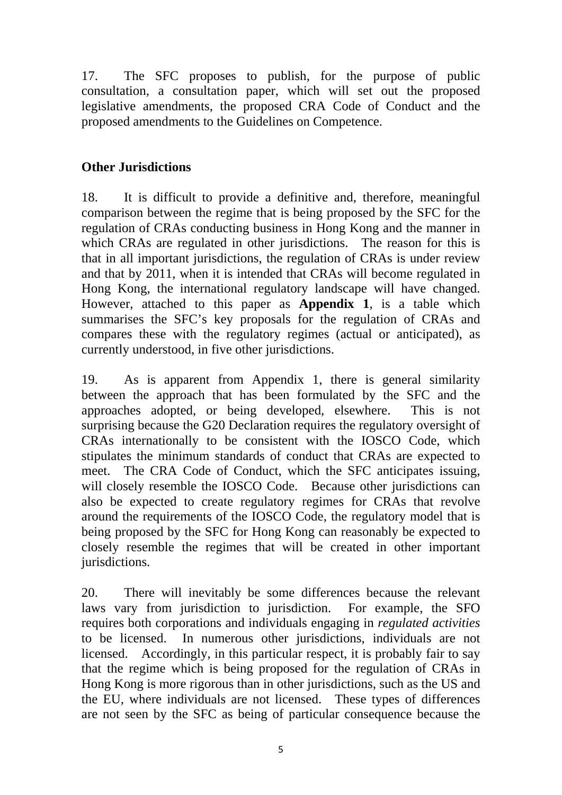17. The SFC proposes to publish, for the purpose of public consultation, a consultation paper, which will set out the proposed legislative amendments, the proposed CRA Code of Conduct and the proposed amendments to the Guidelines on Competence.

## **Other Jurisdictions**

18. It is difficult to provide a definitive and, therefore, meaningful comparison between the regime that is being proposed by the SFC for the regulation of CRAs conducting business in Hong Kong and the manner in which CRAs are regulated in other jurisdictions. The reason for this is that in all important jurisdictions, the regulation of CRAs is under review and that by 2011, when it is intended that CRAs will become regulated in Hong Kong, the international regulatory landscape will have changed. However, attached to this paper as **Appendix 1**, is a table which summarises the SFC's key proposals for the regulation of CRAs and compares these with the regulatory regimes (actual or anticipated), as currently understood, in five other jurisdictions.

19. As is apparent from Appendix 1, there is general similarity between the approach that has been formulated by the SFC and the approaches adopted, or being developed, elsewhere. This is not surprising because the G20 Declaration requires the regulatory oversight of CRAs internationally to be consistent with the IOSCO Code, which stipulates the minimum standards of conduct that CRAs are expected to meet. The CRA Code of Conduct, which the SFC anticipates issuing, will closely resemble the IOSCO Code. Because other jurisdictions can also be expected to create regulatory regimes for CRAs that revolve around the requirements of the IOSCO Code, the regulatory model that is being proposed by the SFC for Hong Kong can reasonably be expected to closely resemble the regimes that will be created in other important jurisdictions.

20. There will inevitably be some differences because the relevant laws vary from jurisdiction to jurisdiction. For example, the SFO requires both corporations and individuals engaging in *regulated activities*  to be licensed. In numerous other jurisdictions, individuals are not licensed. Accordingly, in this particular respect, it is probably fair to say that the regime which is being proposed for the regulation of CRAs in Hong Kong is more rigorous than in other jurisdictions, such as the US and the EU, where individuals are not licensed. These types of differences are not seen by the SFC as being of particular consequence because the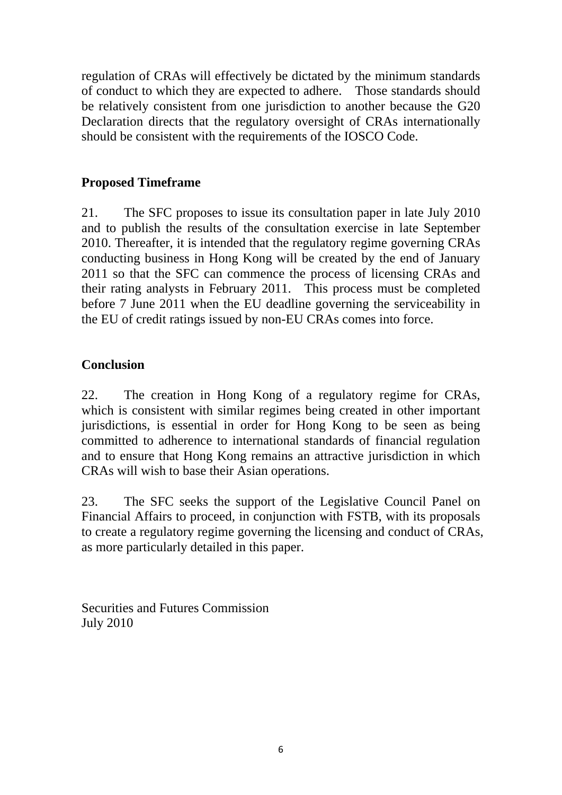regulation of CRAs will effectively be dictated by the minimum standards of conduct to which they are expected to adhere. Those standards should be relatively consistent from one jurisdiction to another because the G20 Declaration directs that the regulatory oversight of CRAs internationally should be consistent with the requirements of the IOSCO Code.

## **Proposed Timeframe**

21. The SFC proposes to issue its consultation paper in late July 2010 and to publish the results of the consultation exercise in late September 2010. Thereafter, it is intended that the regulatory regime governing CRAs conducting business in Hong Kong will be created by the end of January 2011 so that the SFC can commence the process of licensing CRAs and their rating analysts in February 2011. This process must be completed before 7 June 2011 when the EU deadline governing the serviceability in the EU of credit ratings issued by non-EU CRAs comes into force.

## **Conclusion**

22. The creation in Hong Kong of a regulatory regime for CRAs, which is consistent with similar regimes being created in other important jurisdictions, is essential in order for Hong Kong to be seen as being committed to adherence to international standards of financial regulation and to ensure that Hong Kong remains an attractive jurisdiction in which CRAs will wish to base their Asian operations.

23. The SFC seeks the support of the Legislative Council Panel on Financial Affairs to proceed, in conjunction with FSTB, with its proposals to create a regulatory regime governing the licensing and conduct of CRAs, as more particularly detailed in this paper.

Securities and Futures Commission July 2010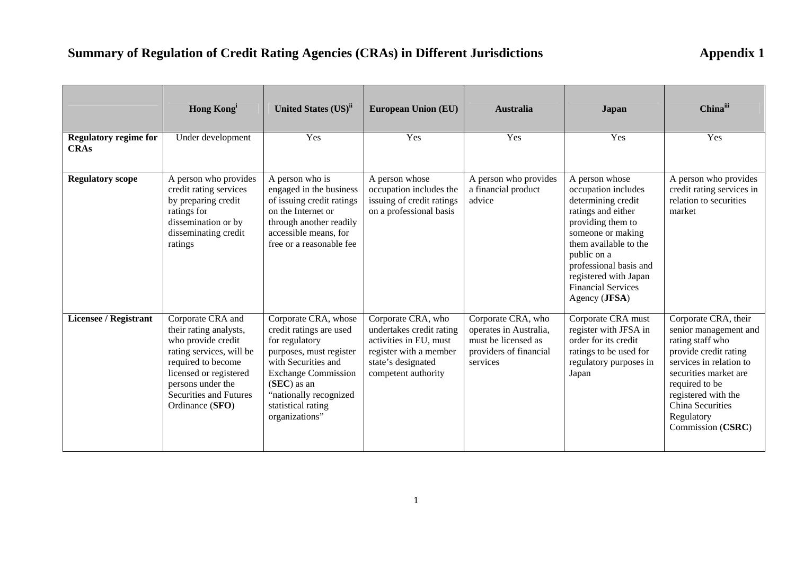# **Summary of Regulation of Credit Rating Agencies (CRAs) in Different Jurisdictions 40.1 Appendix 1**

|                                             | <b>Hong Kong</b>                                                                                                                                                                                                       | United States (US) <sup>ii</sup>                                                                                                                                                                                                     | <b>European Union (EU)</b>                                                                                                                      | <b>Australia</b>                                                                                          | <b>Japan</b>                                                                                                                                                                                                                                                         | Chinaiii                                                                                                                                                                                                                                       |
|---------------------------------------------|------------------------------------------------------------------------------------------------------------------------------------------------------------------------------------------------------------------------|--------------------------------------------------------------------------------------------------------------------------------------------------------------------------------------------------------------------------------------|-------------------------------------------------------------------------------------------------------------------------------------------------|-----------------------------------------------------------------------------------------------------------|----------------------------------------------------------------------------------------------------------------------------------------------------------------------------------------------------------------------------------------------------------------------|------------------------------------------------------------------------------------------------------------------------------------------------------------------------------------------------------------------------------------------------|
| <b>Regulatory regime for</b><br><b>CRAs</b> | Under development                                                                                                                                                                                                      | Yes                                                                                                                                                                                                                                  | Yes                                                                                                                                             | Yes                                                                                                       | Yes                                                                                                                                                                                                                                                                  | Yes                                                                                                                                                                                                                                            |
| <b>Regulatory scope</b>                     | A person who provides<br>credit rating services<br>by preparing credit<br>ratings for<br>dissemination or by<br>disseminating credit<br>ratings                                                                        | A person who is<br>engaged in the business<br>of issuing credit ratings<br>on the Internet or<br>through another readily<br>accessible means, for<br>free or a reasonable fee                                                        | A person whose<br>occupation includes the<br>issuing of credit ratings<br>on a professional basis                                               | A person who provides<br>a financial product<br>advice                                                    | A person whose<br>occupation includes<br>determining credit<br>ratings and either<br>providing them to<br>someone or making<br>them available to the<br>public on a<br>professional basis and<br>registered with Japan<br><b>Financial Services</b><br>Agency (JFSA) | A person who provides<br>credit rating services in<br>relation to securities<br>market                                                                                                                                                         |
| <b>Licensee / Registrant</b>                | Corporate CRA and<br>their rating analysts,<br>who provide credit<br>rating services, will be<br>required to become<br>licensed or registered<br>persons under the<br><b>Securities and Futures</b><br>Ordinance (SFO) | Corporate CRA, whose<br>credit ratings are used<br>for regulatory<br>purposes, must register<br>with Securities and<br><b>Exchange Commission</b><br>$(SEC)$ as an<br>"nationally recognized<br>statistical rating<br>organizations" | Corporate CRA, who<br>undertakes credit rating<br>activities in EU, must<br>register with a member<br>state's designated<br>competent authority | Corporate CRA, who<br>operates in Australia,<br>must be licensed as<br>providers of financial<br>services | Corporate CRA must<br>register with JFSA in<br>order for its credit<br>ratings to be used for<br>regulatory purposes in<br>Japan                                                                                                                                     | Corporate CRA, their<br>senior management and<br>rating staff who<br>provide credit rating<br>services in relation to<br>securities market are<br>required to be<br>registered with the<br>China Securities<br>Regulatory<br>Commission (CSRC) |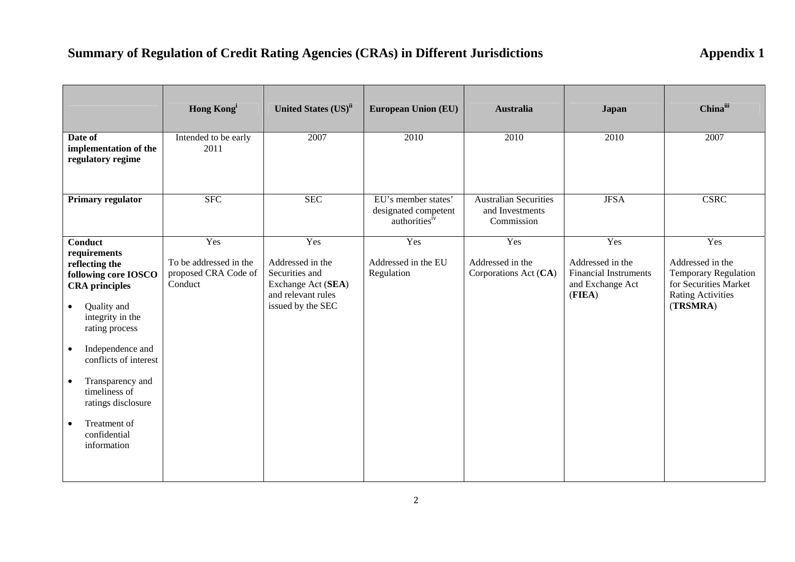# **Summary of Regulation of Credit Rating Agencies (CRAs) in Different Jurisdictions 40.1 Appendix 1**

|                                                                                                                                                                                                                                                                                                                                                                   | <b>Hong Kong</b>                                                 | United States (US) <sup>ii</sup>                                                                           | <b>European Union (EU)</b>                                   | <b>Australia</b>                                              | <b>Japan</b>                                                                          | Chinaiii                                                                                                                |
|-------------------------------------------------------------------------------------------------------------------------------------------------------------------------------------------------------------------------------------------------------------------------------------------------------------------------------------------------------------------|------------------------------------------------------------------|------------------------------------------------------------------------------------------------------------|--------------------------------------------------------------|---------------------------------------------------------------|---------------------------------------------------------------------------------------|-------------------------------------------------------------------------------------------------------------------------|
| Date of<br>implementation of the<br>regulatory regime                                                                                                                                                                                                                                                                                                             | Intended to be early<br>2011                                     | 2007                                                                                                       | 2010                                                         | 2010                                                          | 2010                                                                                  | 2007                                                                                                                    |
| Primary regulator                                                                                                                                                                                                                                                                                                                                                 | <b>SFC</b>                                                       | <b>SEC</b>                                                                                                 | EU's member states'<br>designated competent<br>authoritiesiv | <b>Australian Securities</b><br>and Investments<br>Commission | <b>JFSA</b>                                                                           | <b>CSRC</b>                                                                                                             |
| <b>Conduct</b><br>requirements<br>reflecting the<br>following core IOSCO<br><b>CRA</b> principles<br>Quality and<br>$\bullet$<br>integrity in the<br>rating process<br>Independence and<br>$\bullet$<br>conflicts of interest<br>Transparency and<br>$\bullet$<br>timeliness of<br>ratings disclosure<br>Treatment of<br>$\bullet$<br>confidential<br>information | Yes<br>To be addressed in the<br>proposed CRA Code of<br>Conduct | Yes<br>Addressed in the<br>Securities and<br>Exchange Act (SEA)<br>and relevant rules<br>issued by the SEC | Yes<br>Addressed in the EU<br>Regulation                     | Yes<br>Addressed in the<br>Corporations Act (CA)              | Yes<br>Addressed in the<br><b>Financial Instruments</b><br>and Exchange Act<br>(FIEA) | Yes<br>Addressed in the<br><b>Temporary Regulation</b><br>for Securities Market<br><b>Rating Activities</b><br>(TRSMRA) |